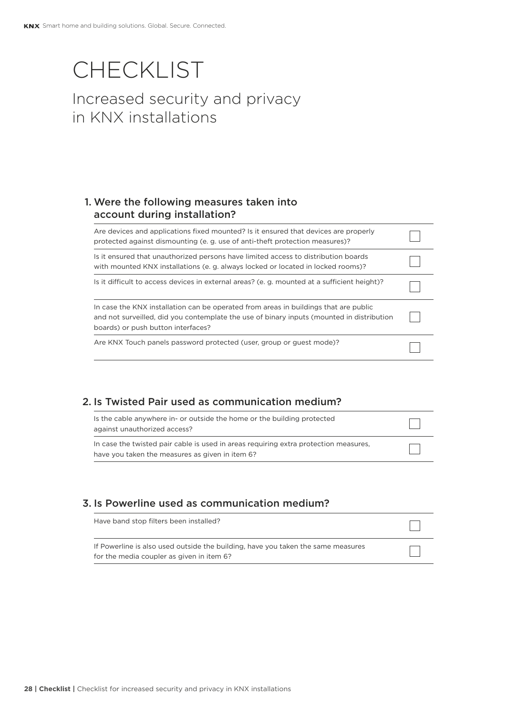# **CHECKLIST** Increased security and privacy in KNX installations

# 1. Were the following measures taken into account during installation?

| Are devices and applications fixed mounted? Is it ensured that devices are properly<br>protected against dismounting (e. g. use of anti-theft protection measures)?                                                     |  |
|-------------------------------------------------------------------------------------------------------------------------------------------------------------------------------------------------------------------------|--|
| Is it ensured that unauthorized persons have limited access to distribution boards<br>with mounted KNX installations (e. g. always locked or located in locked rooms)?                                                  |  |
| Is it difficult to access devices in external areas? (e. g. mounted at a sufficient height)?                                                                                                                            |  |
| In case the KNX installation can be operated from areas in buildings that are public<br>and not surveilled, did you contemplate the use of binary inputs (mounted in distribution<br>boards) or push button interfaces? |  |
| Are KNX Touch panels password protected (user, group or quest mode)?                                                                                                                                                    |  |

#### 2. Is Twisted Pair used as communication medium?

| Is the cable anywhere in- or outside the home or the building protected<br>against unauthorized access?                                 |  |
|-----------------------------------------------------------------------------------------------------------------------------------------|--|
| In case the twisted pair cable is used in areas requiring extra protection measures,<br>have you taken the measures as given in item 6? |  |

#### 3. Is Powerline used as communication medium?

| Have band stop filters been installed?                                                                                        |  |
|-------------------------------------------------------------------------------------------------------------------------------|--|
| If Powerline is also used outside the building, have you taken the same measures<br>for the media coupler as given in item 6? |  |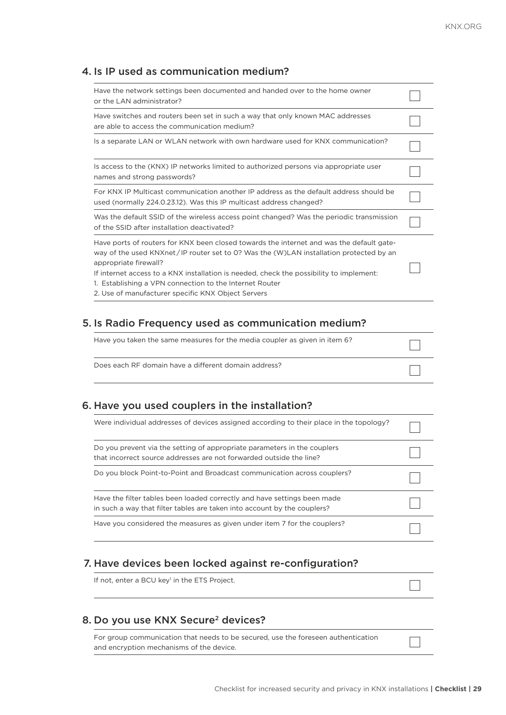## 4. Is IP used as communication medium?

| Have the network settings been documented and handed over to the home owner<br>or the LAN administrator?                                                                                                                                                                                                                                                                                                                |  |
|-------------------------------------------------------------------------------------------------------------------------------------------------------------------------------------------------------------------------------------------------------------------------------------------------------------------------------------------------------------------------------------------------------------------------|--|
| Have switches and routers been set in such a way that only known MAC addresses<br>are able to access the communication medium?                                                                                                                                                                                                                                                                                          |  |
| Is a separate LAN or WLAN network with own hardware used for KNX communication?                                                                                                                                                                                                                                                                                                                                         |  |
| Is access to the (KNX) IP networks limited to authorized persons via appropriate user<br>names and strong passwords?                                                                                                                                                                                                                                                                                                    |  |
| For KNX IP Multicast communication another IP address as the default address should be<br>used (normally 224.0.23.12). Was this IP multicast address changed?                                                                                                                                                                                                                                                           |  |
| Was the default SSID of the wireless access point changed? Was the periodic transmission<br>of the SSID after installation deactivated?                                                                                                                                                                                                                                                                                 |  |
| Have ports of routers for KNX been closed towards the internet and was the default gate-<br>way of the used KNXnet/IP router set to 0? Was the (W)LAN installation protected by an<br>appropriate firewall?<br>If internet access to a KNX installation is needed, check the possibility to implement:<br>1. Establishing a VPN connection to the Internet Router<br>2. Use of manufacturer specific KNX Object Servers |  |

## 5. Is Radio Frequency used as communication medium?

| Have you taken the same measures for the media coupler as given in item 6? |  |
|----------------------------------------------------------------------------|--|
| Does each RF domain have a different domain address?                       |  |

# 6. Have you used couplers in the installation?

| Were individual addresses of devices assigned according to their place in the topology?                                                              |  |
|------------------------------------------------------------------------------------------------------------------------------------------------------|--|
| Do you prevent via the setting of appropriate parameters in the couplers<br>that incorrect source addresses are not forwarded outside the line?      |  |
| Do you block Point-to-Point and Broadcast communication across couplers?                                                                             |  |
| Have the filter tables been loaded correctly and have settings been made<br>in such a way that filter tables are taken into account by the couplers? |  |
| Have you considered the measures as given under item 7 for the couplers?                                                                             |  |

#### 7. Have devices been locked against re-configuration?

If not, enter a BCU key<sup>1</sup> in the ETS Project.

#### 8. Do you use KNX Secure<sup>2</sup> devices?

For group communication that needs to be secured, use the foreseen authentication and encryption mechanisms of the device.

٦